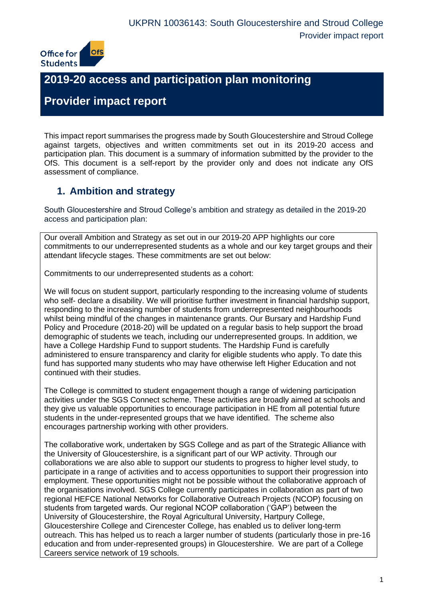

# **2019-20 access and participation plan monitoring**

# **Provider impact report**

This impact report summarises the progress made by South Gloucestershire and Stroud College against targets, objectives and written commitments set out in its 2019-20 access and participation plan. This document is a summary of information submitted by the provider to the OfS. This document is a self-report by the provider only and does not indicate any OfS assessment of compliance.

## **1. Ambition and strategy**

South Gloucestershire and Stroud College's ambition and strategy as detailed in the 2019-20 access and participation plan:

Our overall Ambition and Strategy as set out in our 2019-20 APP highlights our core commitments to our underrepresented students as a whole and our key target groups and their attendant lifecycle stages. These commitments are set out below:

Commitments to our underrepresented students as a cohort:

We will focus on student support, particularly responding to the increasing volume of students who self- declare a disability. We will prioritise further investment in financial hardship support, responding to the increasing number of students from underrepresented neighbourhoods whilst being mindful of the changes in maintenance grants. Our Bursary and Hardship Fund Policy and Procedure (2018-20) will be updated on a regular basis to help support the broad demographic of students we teach, including our underrepresented groups. In addition, we have a College Hardship Fund to support students. The Hardship Fund is carefully administered to ensure transparency and clarity for eligible students who apply. To date this fund has supported many students who may have otherwise left Higher Education and not continued with their studies.

The College is committed to student engagement though a range of widening participation activities under the SGS Connect scheme. These activities are broadly aimed at schools and they give us valuable opportunities to encourage participation in HE from all potential future students in the under-represented groups that we have identified. The scheme also encourages partnership working with other providers.

The collaborative work, undertaken by SGS College and as part of the Strategic Alliance with the University of Gloucestershire, is a significant part of our WP activity. Through our collaborations we are also able to support our students to progress to higher level study, to participate in a range of activities and to access opportunities to support their progression into employment. These opportunities might not be possible without the collaborative approach of the organisations involved. SGS College currently participates in collaboration as part of two regional HEFCE National Networks for Collaborative Outreach Projects (NCOP) focusing on students from targeted wards. Our regional NCOP collaboration ('GAP') between the University of Gloucestershire, the Royal Agricultural University, Hartpury College, Gloucestershire College and Cirencester College, has enabled us to deliver long-term outreach. This has helped us to reach a larger number of students (particularly those in pre-16 education and from under-represented groups) in Gloucestershire. We are part of a College Careers service network of 19 schools.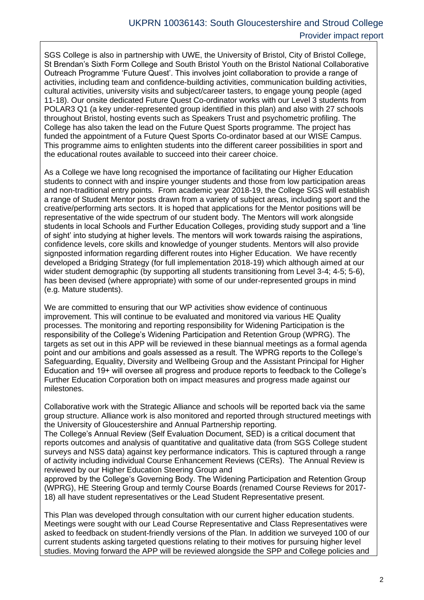SGS College is also in partnership with UWE, the University of Bristol, City of Bristol College, St Brendan's Sixth Form College and South Bristol Youth on the Bristol National Collaborative Outreach Programme 'Future Quest'. This involves joint collaboration to provide a range of activities, including team and confidence-building activities, communication building activities, cultural activities, university visits and subject/career tasters, to engage young people (aged 11-18). Our onsite dedicated Future Quest Co-ordinator works with our Level 3 students from POLAR3 Q1 (a key under-represented group identified in this plan) and also with 27 schools throughout Bristol, hosting events such as Speakers Trust and psychometric profiling. The College has also taken the lead on the Future Quest Sports programme. The project has funded the appointment of a Future Quest Sports Co-ordinator based at our WISE Campus. This programme aims to enlighten students into the different career possibilities in sport and the educational routes available to succeed into their career choice.

As a College we have long recognised the importance of facilitating our Higher Education students to connect with and inspire younger students and those from low participation areas and non-traditional entry points. From academic year 2018-19, the College SGS will establish a range of Student Mentor posts drawn from a variety of subject areas, including sport and the creative/performing arts sectors. It is hoped that applications for the Mentor positions will be representative of the wide spectrum of our student body. The Mentors will work alongside students in local Schools and Further Education Colleges, providing study support and a 'line of sight' into studying at higher levels. The mentors will work towards raising the aspirations, confidence levels, core skills and knowledge of younger students. Mentors will also provide signposted information regarding different routes into Higher Education. We have recently developed a Bridging Strategy (for full implementation 2018-19) which although aimed at our wider student demographic (by supporting all students transitioning from Level 3-4; 4-5; 5-6), has been devised (where appropriate) with some of our under-represented groups in mind (e.g. Mature students).

We are committed to ensuring that our WP activities show evidence of continuous improvement. This will continue to be evaluated and monitored via various HE Quality processes. The monitoring and reporting responsibility for Widening Participation is the responsibility of the College's Widening Participation and Retention Group (WPRG). The targets as set out in this APP will be reviewed in these biannual meetings as a formal agenda point and our ambitions and goals assessed as a result. The WPRG reports to the College's Safeguarding, Equality, Diversity and Wellbeing Group and the Assistant Principal for Higher Education and 19+ will oversee all progress and produce reports to feedback to the College's Further Education Corporation both on impact measures and progress made against our milestones.

Collaborative work with the Strategic Alliance and schools will be reported back via the same group structure. Alliance work is also monitored and reported through structured meetings with the University of Gloucestershire and Annual Partnership reporting.

The College's Annual Review (Self Evaluation Document, SED) is a critical document that reports outcomes and analysis of quantitative and qualitative data (from SGS College student surveys and NSS data) against key performance indicators. This is captured through a range of activity including individual Course Enhancement Reviews (CERs). The Annual Review is reviewed by our Higher Education Steering Group and

approved by the College's Governing Body. The Widening Participation and Retention Group (WPRG), HE Steering Group and termly Course Boards (renamed Course Reviews for 2017- 18) all have student representatives or the Lead Student Representative present.

This Plan was developed through consultation with our current higher education students. Meetings were sought with our Lead Course Representative and Class Representatives were asked to feedback on student-friendly versions of the Plan. In addition we surveyed 100 of our current students asking targeted questions relating to their motives for pursuing higher level studies. Moving forward the APP will be reviewed alongside the SPP and College policies and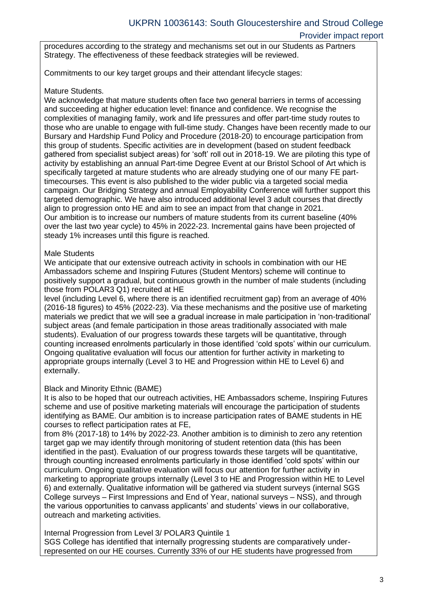procedures according to the strategy and mechanisms set out in our Students as Partners Strategy. The effectiveness of these feedback strategies will be reviewed.

Commitments to our key target groups and their attendant lifecycle stages:

#### Mature Students.

We acknowledge that mature students often face two general barriers in terms of accessing and succeeding at higher education level: finance and confidence. We recognise the complexities of managing family, work and life pressures and offer part-time study routes to those who are unable to engage with full-time study. Changes have been recently made to our Bursary and Hardship Fund Policy and Procedure (2018-20) to encourage participation from this group of students. Specific activities are in development (based on student feedback gathered from specialist subject areas) for 'soft' roll out in 2018-19. We are piloting this type of activity by establishing an annual Part-time Degree Event at our Bristol School of Art which is specifically targeted at mature students who are already studying one of our many FE parttimecourses. This event is also published to the wider public via a targeted social media campaign. Our Bridging Strategy and annual Employability Conference will further support this targeted demographic. We have also introduced additional level 3 adult courses that directly align to progression onto HE and aim to see an impact from that change in 2021. Our ambition is to increase our numbers of mature students from its current baseline (40% over the last two year cycle) to 45% in 2022-23. Incremental gains have been projected of steady 1% increases until this figure is reached.

#### Male Students

We anticipate that our extensive outreach activity in schools in combination with our HE Ambassadors scheme and Inspiring Futures (Student Mentors) scheme will continue to positively support a gradual, but continuous growth in the number of male students (including those from POLAR3 Q1) recruited at HE

level (including Level 6, where there is an identified recruitment gap) from an average of 40% (2016-18 figures) to 45% (2022-23). Via these mechanisms and the positive use of marketing materials we predict that we will see a gradual increase in male participation in 'non-traditional' subject areas (and female participation in those areas traditionally associated with male students). Evaluation of our progress towards these targets will be quantitative, through counting increased enrolments particularly in those identified 'cold spots' within our curriculum. Ongoing qualitative evaluation will focus our attention for further activity in marketing to appropriate groups internally (Level 3 to HE and Progression within HE to Level 6) and externally.

#### Black and Minority Ethnic (BAME)

It is also to be hoped that our outreach activities, HE Ambassadors scheme, Inspiring Futures scheme and use of positive marketing materials will encourage the participation of students identifying as BAME. Our ambition is to increase participation rates of BAME students in HE courses to reflect participation rates at FE,

from 8% (2017-18) to 14% by 2022-23. Another ambition is to diminish to zero any retention target gap we may identify through monitoring of student retention data (this has been identified in the past). Evaluation of our progress towards these targets will be quantitative, through counting increased enrolments particularly in those identified 'cold spots' within our curriculum. Ongoing qualitative evaluation will focus our attention for further activity in marketing to appropriate groups internally (Level 3 to HE and Progression within HE to Level 6) and externally. Qualitative information will be gathered via student surveys (internal SGS College surveys – First Impressions and End of Year, national surveys – NSS), and through the various opportunities to canvass applicants' and students' views in our collaborative, outreach and marketing activities.

Internal Progression from Level 3/ POLAR3 Quintile 1

SGS College has identified that internally progressing students are comparatively underrepresented on our HE courses. Currently 33% of our HE students have progressed from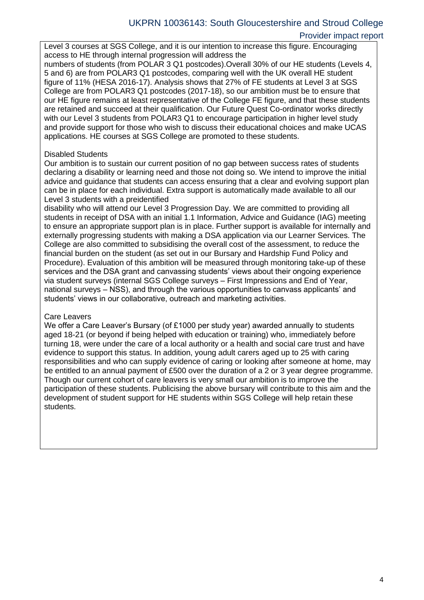### Provider impact report

Level 3 courses at SGS College, and it is our intention to increase this figure. Encouraging access to HE through internal progression will address the

numbers of students (from POLAR 3 Q1 postcodes).Overall 30% of our HE students (Levels 4, 5 and 6) are from POLAR3 Q1 postcodes, comparing well with the UK overall HE student figure of 11% (HESA 2016-17). Analysis shows that 27% of FE students at Level 3 at SGS College are from POLAR3 Q1 postcodes (2017-18), so our ambition must be to ensure that our HE figure remains at least representative of the College FE figure, and that these students are retained and succeed at their qualification. Our Future Quest Co-ordinator works directly with our Level 3 students from POLAR3 Q1 to encourage participation in higher level study and provide support for those who wish to discuss their educational choices and make UCAS applications. HE courses at SGS College are promoted to these students.

### Disabled Students

Our ambition is to sustain our current position of no gap between success rates of students declaring a disability or learning need and those not doing so. We intend to improve the initial advice and guidance that students can access ensuring that a clear and evolving support plan can be in place for each individual. Extra support is automatically made available to all our Level 3 students with a preidentified

disability who will attend our Level 3 Progression Day. We are committed to providing all students in receipt of DSA with an initial 1.1 Information, Advice and Guidance (IAG) meeting to ensure an appropriate support plan is in place. Further support is available for internally and externally progressing students with making a DSA application via our Learner Services. The College are also committed to subsidising the overall cost of the assessment, to reduce the financial burden on the student (as set out in our Bursary and Hardship Fund Policy and Procedure). Evaluation of this ambition will be measured through monitoring take-up of these services and the DSA grant and canvassing students' views about their ongoing experience via student surveys (internal SGS College surveys – First Impressions and End of Year, national surveys – NSS), and through the various opportunities to canvass applicants' and students' views in our collaborative, outreach and marketing activities.

#### Care Leavers

We offer a Care Leaver's Bursary (of £1000 per study year) awarded annually to students aged 18-21 (or beyond if being helped with education or training) who, immediately before turning 18, were under the care of a local authority or a health and social care trust and have evidence to support this status. In addition, young adult carers aged up to 25 with caring responsibilities and who can supply evidence of caring or looking after someone at home, may be entitled to an annual payment of £500 over the duration of a 2 or 3 year degree programme. Though our current cohort of care leavers is very small our ambition is to improve the participation of these students. Publicising the above bursary will contribute to this aim and the development of student support for HE students within SGS College will help retain these students.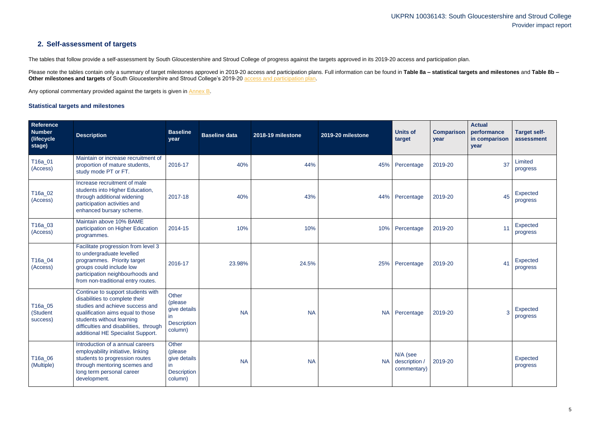## UKPRN 10036143: South Gloucestershire and Stroud College Provider impact report

## **2. Self-assessment of targets**

The tables that follow provide a self-assessment by South Gloucestershire and Stroud College of progress against the targets approved in its 2019-20 access and participation plan.

Please note the tables contain only a summary of target milestones approved in 2019-20 access and participation plans. Full information can be found in Table 8a - statistical targets and milestones and Table 8b -**Other milestones and targets** of South Gloucestershire and Stroud College's 2019-20 [access and participation plan.](https://www.officeforstudents.org.uk/advice-and-guidance/the-register/search-for-access-and-participation-plans/#/AccessPlans/)

Any optional commentary provided against the targets is given in [Annex B.](#page-10-0)

### <span id="page-4-0"></span>**Statistical targets and milestones**

| Reference<br><b>Number</b><br>(lifecycle)<br>stage) | <b>Description</b>                                                                                                                                                                                                                                      | <b>Baseline</b><br>year                                                           | <b>Baseline data</b> | 2018-19 milestone | 2019-20 milestone | <b>Units of</b><br>target                   | <b>Comparison</b><br>year | <b>Actual</b><br>performance<br>in comparison<br>year | <b>Target self-</b><br>assessment |
|-----------------------------------------------------|---------------------------------------------------------------------------------------------------------------------------------------------------------------------------------------------------------------------------------------------------------|-----------------------------------------------------------------------------------|----------------------|-------------------|-------------------|---------------------------------------------|---------------------------|-------------------------------------------------------|-----------------------------------|
| T16a_01<br>(Access)                                 | Maintain or increase recruitment of<br>proportion of mature students,<br>study mode PT or FT.                                                                                                                                                           | 2016-17                                                                           | 40%                  | 44%               | 45%               | Percentage                                  | 2019-20                   | 37                                                    | Limited<br>progress               |
| T16a_02<br>(Access)                                 | Increase recruitment of male<br>students into Higher Education,<br>through additional widening<br>participation activities and<br>enhanced bursary scheme.                                                                                              | 2017-18                                                                           | 40%                  | 43%               |                   | 44% Percentage                              | 2019-20                   | 45                                                    | Expected<br>progress              |
| T16a_03<br>(Access)                                 | Maintain above 10% BAME<br>participation on Higher Education<br>programmes.                                                                                                                                                                             | 2014-15                                                                           | 10%                  | 10%               | 10%               | Percentage                                  | 2019-20                   | 11                                                    | Expected<br>progress              |
| T16a_04<br>(Access)                                 | Facilitate progression from level 3<br>to undergraduate levelled<br>programmes. Priority target<br>groups could include low<br>participation neighbourhoods and<br>from non-traditional entry routes.                                                   | 2016-17                                                                           | 23.98%               | 24.5%             | 25%               | Percentage                                  | 2019-20                   | 41                                                    | Expected<br>progress              |
| T16a_05<br>(Student<br>success)                     | Continue to support students with<br>disabilities to complete their<br>studies and achieve success and<br>qualification aims equal to those<br>students without learning<br>difficulties and disabilities, through<br>additional HE Specialist Support. | Other<br>(please<br>give details<br>$\mathsf{I}$<br><b>Description</b><br>column) | <b>NA</b>            | <b>NA</b>         |                   | NA Percentage                               | 2019-20                   | 3                                                     | Expected<br>progress              |
| T16a_06<br>(Multiple)                               | Introduction of a annual careers<br>employability initiative, linking<br>students to progression routes<br>through mentoring scemes and<br>long term personal career<br>development.                                                                    | Other<br>(please<br>give details<br>in<br><b>Description</b><br>column)           | <b>NA</b>            | <b>NA</b>         |                   | N/A (see<br>NA description /<br>commentary) | 2019-20                   |                                                       | Expected<br>progress              |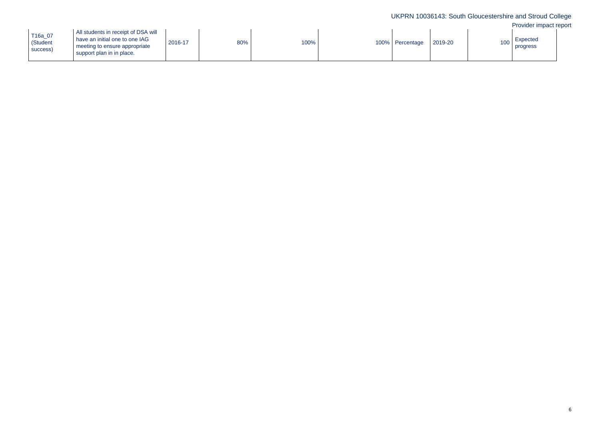# UKPRN 10036143: South Gloucestershire and Stroud College Provider impact report

| All students in receipt of DSA will<br>$\vert$ T16a_07<br>have an initial one to one IAG<br>(Student<br>meeting to ensure appropriate<br>success)<br>support plan in in place. | 2016-17 | 80% | 100% |  | 100% Percentage | 2019-20 | 100 | Expected<br>progress |
|--------------------------------------------------------------------------------------------------------------------------------------------------------------------------------|---------|-----|------|--|-----------------|---------|-----|----------------------|
|--------------------------------------------------------------------------------------------------------------------------------------------------------------------------------|---------|-----|------|--|-----------------|---------|-----|----------------------|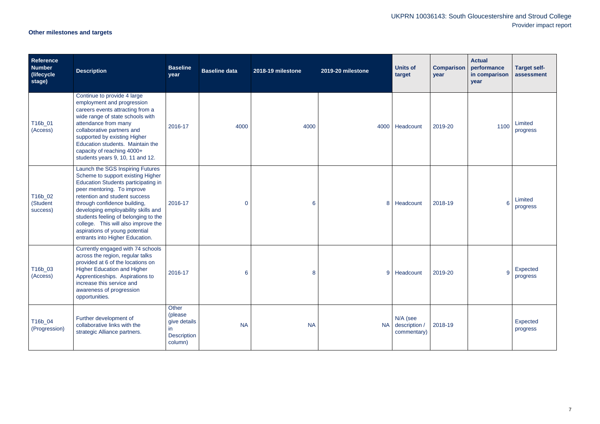# UKPRN 10036143: South Gloucestershire and Stroud College Provider impact report

# **Other milestones and targets**

| <b>Reference</b><br><b>Number</b><br>(lifecycle<br>stage) | <b>Description</b>                                                                                                                                                                                                                                                                                                                                                                                            | <b>Baseline</b><br>year                                                           | <b>Baseline data</b> | 2018-19 milestone | 2019-20 milestone | <b>Units of</b><br>target                   | <b>Comparison</b><br>year | <b>Actual</b><br>performance<br>in comparison<br>year | <b>Target self-</b><br>assessment |
|-----------------------------------------------------------|---------------------------------------------------------------------------------------------------------------------------------------------------------------------------------------------------------------------------------------------------------------------------------------------------------------------------------------------------------------------------------------------------------------|-----------------------------------------------------------------------------------|----------------------|-------------------|-------------------|---------------------------------------------|---------------------------|-------------------------------------------------------|-----------------------------------|
| T16b_01<br>(Access)                                       | Continue to provide 4 large<br>employment and progression<br>careers events attracting from a<br>wide range of state schools with<br>attendance from many<br>collaborative partners and<br>supported by existing Higher<br>Education students. Maintain the<br>capacity of reaching 4000+<br>students years 9, 10, 11 and 12.                                                                                 | 2016-17                                                                           | 4000                 | 4000              | 4000              | Headcount                                   | 2019-20                   | 1100                                                  | Limited<br>progress               |
| T16b_02<br>(Student<br>success)                           | Launch the SGS Inspiring Futures<br>Scheme to support existing Higher<br><b>Education Students participating in</b><br>peer mentoring. To improve<br>retention and student success<br>through confidence building,<br>developing employability skills and<br>students feeling of belonging to the<br>college. This will also improve the<br>aspirations of young potential<br>entrants into Higher Education. | 2016-17                                                                           | $\overline{0}$       | 6                 | 8                 | Headcount                                   | 2018-19                   | 6                                                     | Limited<br>progress               |
| T16b_03<br>(Access)                                       | Currently engaged with 74 schools<br>across the region, regular talks<br>provided at 6 of the locations on<br><b>Higher Education and Higher</b><br>Apprenticeships. Aspirations to<br>increase this service and<br>awareness of progression<br>opportunities.                                                                                                                                                | 2016-17                                                                           | 6                    | $\boldsymbol{8}$  | 9                 | Headcount                                   | 2019-20                   | 9                                                     | Expected<br>progress              |
| T16b_04<br>(Progression)                                  | Further development of<br>collaborative links with the<br>strategic Alliance partners.                                                                                                                                                                                                                                                                                                                        | Other<br>(please<br>give details<br>$\mathsf{I}$<br><b>Description</b><br>column) | <b>NA</b>            | <b>NA</b>         |                   | N/A (see<br>NA description /<br>commentary) | 2018-19                   |                                                       | Expected<br>progress              |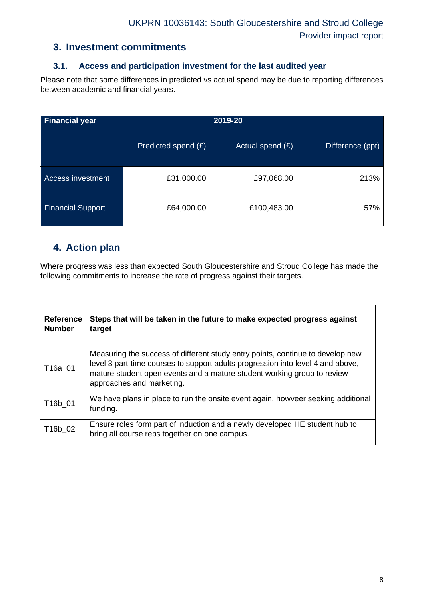## **3. Investment commitments**

### **3.1. Access and participation investment for the last audited year**

Please note that some differences in predicted vs actual spend may be due to reporting differences between academic and financial years.

| Financial year           | 2019-20             |                    |                  |  |  |  |
|--------------------------|---------------------|--------------------|------------------|--|--|--|
|                          | Predicted spend (£) | Actual spend $(E)$ | Difference (ppt) |  |  |  |
| Access investment        | £31,000.00          | £97,068.00         | 213%             |  |  |  |
| <b>Financial Support</b> | £64,000.00          | £100,483.00        | 57%              |  |  |  |

## **4. Action plan**

Where progress was less than expected South Gloucestershire and Stroud College has made the following commitments to increase the rate of progress against their targets.

| <b>Reference</b><br><b>Number</b> | Steps that will be taken in the future to make expected progress against<br>target                                                                                                                                                                                        |
|-----------------------------------|---------------------------------------------------------------------------------------------------------------------------------------------------------------------------------------------------------------------------------------------------------------------------|
| T16a 01                           | Measuring the success of different study entry points, continue to develop new<br>level 3 part-time courses to support adults progression into level 4 and above,<br>mature student open events and a mature student working group to review<br>approaches and marketing. |
| T16b_01                           | We have plans in place to run the onsite event again, howveer seeking additional<br>funding.                                                                                                                                                                              |
| T16b 02                           | Ensure roles form part of induction and a newly developed HE student hub to<br>bring all course reps together on one campus.                                                                                                                                              |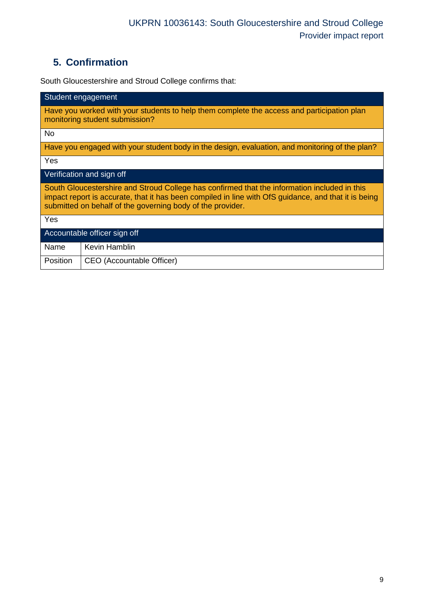# **5. Confirmation**

South Gloucestershire and Stroud College confirms that:

| Student engagement                                                                                                                                                                                                                                                 |  |  |  |  |  |
|--------------------------------------------------------------------------------------------------------------------------------------------------------------------------------------------------------------------------------------------------------------------|--|--|--|--|--|
| Have you worked with your students to help them complete the access and participation plan<br>monitoring student submission?                                                                                                                                       |  |  |  |  |  |
| <b>No</b>                                                                                                                                                                                                                                                          |  |  |  |  |  |
| Have you engaged with your student body in the design, evaluation, and monitoring of the plan?                                                                                                                                                                     |  |  |  |  |  |
| Yes                                                                                                                                                                                                                                                                |  |  |  |  |  |
| Verification and sign off                                                                                                                                                                                                                                          |  |  |  |  |  |
| South Gloucestershire and Stroud College has confirmed that the information included in this<br>impact report is accurate, that it has been compiled in line with OfS guidance, and that it is being<br>submitted on behalf of the governing body of the provider. |  |  |  |  |  |
| Yes                                                                                                                                                                                                                                                                |  |  |  |  |  |
| Accountable officer sign off                                                                                                                                                                                                                                       |  |  |  |  |  |
| Kevin Hamblin<br>Name                                                                                                                                                                                                                                              |  |  |  |  |  |
| <b>Position</b><br>CEO (Accountable Officer)                                                                                                                                                                                                                       |  |  |  |  |  |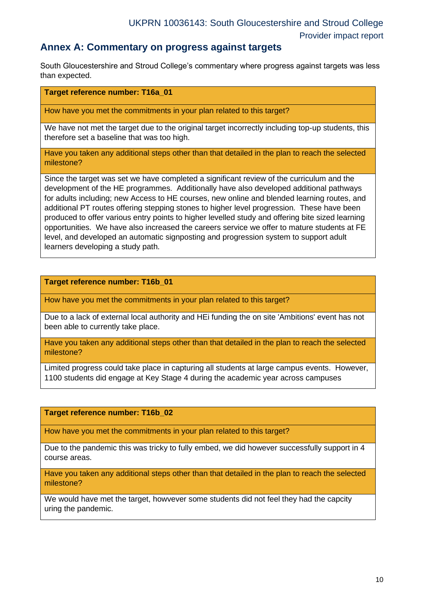### **Annex A: Commentary on progress against targets**

South Gloucestershire and Stroud College's commentary where progress against targets was less than expected.

#### **Target reference number: T16a\_01**

How have you met the commitments in your plan related to this target?

We have not met the target due to the original target incorrectly including top-up students, this therefore set a baseline that was too high.

Have you taken any additional steps other than that detailed in the plan to reach the selected milestone?

Since the target was set we have completed a significant review of the curriculum and the development of the HE programmes. Additionally have also developed additional pathways for adults including; new Access to HE courses, new online and blended learning routes, and additional PT routes offering stepping stones to higher level progression. These have been produced to offer various entry points to higher levelled study and offering bite sized learning opportunities. We have also increased the careers service we offer to mature students at FE level, and developed an automatic signposting and progression system to support adult learners developing a study path.

#### **Target reference number: T16b\_01**

How have you met the commitments in your plan related to this target?

Due to a lack of external local authority and HEi funding the on site 'Ambitions' event has not been able to currently take place.

Have you taken any additional steps other than that detailed in the plan to reach the selected milestone?

Limited progress could take place in capturing all students at large campus events. However, 1100 students did engage at Key Stage 4 during the academic year across campuses

#### **Target reference number: T16b\_02**

How have you met the commitments in your plan related to this target?

Due to the pandemic this was tricky to fully embed, we did however successfully support in 4 course areas.

Have you taken any additional steps other than that detailed in the plan to reach the selected milestone?

We would have met the target, howvever some students did not feel they had the capcity uring the pandemic.